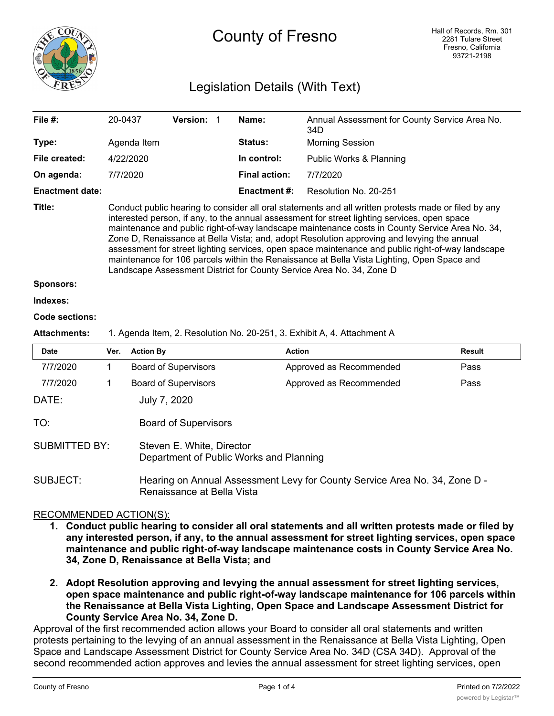

# County of Fresno

# Legislation Details (With Text)

| File $#$ :             | 20-0437                                                                                                                                                                                                                                                                                                                                                                                                                                                                                                                                                                                                                                                                         | <b>Version:</b> |  | Name:                | Annual Assessment for County Service Area No.<br>34D |  |  |  |
|------------------------|---------------------------------------------------------------------------------------------------------------------------------------------------------------------------------------------------------------------------------------------------------------------------------------------------------------------------------------------------------------------------------------------------------------------------------------------------------------------------------------------------------------------------------------------------------------------------------------------------------------------------------------------------------------------------------|-----------------|--|----------------------|------------------------------------------------------|--|--|--|
| Type:                  | Agenda Item                                                                                                                                                                                                                                                                                                                                                                                                                                                                                                                                                                                                                                                                     |                 |  | <b>Status:</b>       | <b>Morning Session</b>                               |  |  |  |
| File created:          | 4/22/2020                                                                                                                                                                                                                                                                                                                                                                                                                                                                                                                                                                                                                                                                       |                 |  | In control:          | Public Works & Planning                              |  |  |  |
| On agenda:             | 7/7/2020                                                                                                                                                                                                                                                                                                                                                                                                                                                                                                                                                                                                                                                                        |                 |  | <b>Final action:</b> | 7/7/2020                                             |  |  |  |
| <b>Enactment date:</b> |                                                                                                                                                                                                                                                                                                                                                                                                                                                                                                                                                                                                                                                                                 |                 |  | <b>Enactment #:</b>  | Resolution No. 20-251                                |  |  |  |
| Title:                 | Conduct public hearing to consider all oral statements and all written protests made or filed by any<br>interested person, if any, to the annual assessment for street lighting services, open space<br>maintenance and public right-of-way landscape maintenance costs in County Service Area No. 34,<br>Zone D, Renaissance at Bella Vista; and, adopt Resolution approving and levying the annual<br>assessment for street lighting services, open space maintenance and public right-of-way landscape<br>maintenance for 106 parcels within the Renaissance at Bella Vista Lighting, Open Space and<br>Landscape Assessment District for County Service Area No. 34, Zone D |                 |  |                      |                                                      |  |  |  |
| <b>Sponsors:</b>       |                                                                                                                                                                                                                                                                                                                                                                                                                                                                                                                                                                                                                                                                                 |                 |  |                      |                                                      |  |  |  |

# **Indexes:**

#### **Code sections:**

#### **Attachments:** 1. Agenda Item, 2. Resolution No. 20-251, 3. Exhibit A, 4. Attachment A

| <b>Date</b>          | Ver. | <b>Action By</b>                                                                                         | <b>Action</b>           | <b>Result</b> |  |  |  |
|----------------------|------|----------------------------------------------------------------------------------------------------------|-------------------------|---------------|--|--|--|
| 7/7/2020             |      | <b>Board of Supervisors</b>                                                                              | Approved as Recommended | Pass          |  |  |  |
| 7/7/2020             |      | <b>Board of Supervisors</b>                                                                              | Approved as Recommended | Pass          |  |  |  |
| DATE:                |      | July 7, 2020                                                                                             |                         |               |  |  |  |
| TO:                  |      | <b>Board of Supervisors</b>                                                                              |                         |               |  |  |  |
| <b>SUBMITTED BY:</b> |      | Steven E. White, Director<br>Department of Public Works and Planning                                     |                         |               |  |  |  |
| SUBJECT:             |      | Hearing on Annual Assessment Levy for County Service Area No. 34, Zone D -<br>Renaissance at Bella Vista |                         |               |  |  |  |

### RECOMMENDED ACTION(S):

- **1. Conduct public hearing to consider all oral statements and all written protests made or filed by any interested person, if any, to the annual assessment for street lighting services, open space maintenance and public right-of-way landscape maintenance costs in County Service Area No. 34, Zone D, Renaissance at Bella Vista; and**
- **2. Adopt Resolution approving and levying the annual assessment for street lighting services, open space maintenance and public right-of-way landscape maintenance for 106 parcels within the Renaissance at Bella Vista Lighting, Open Space and Landscape Assessment District for County Service Area No. 34, Zone D.**

Approval of the first recommended action allows your Board to consider all oral statements and written protests pertaining to the levying of an annual assessment in the Renaissance at Bella Vista Lighting, Open Space and Landscape Assessment District for County Service Area No. 34D (CSA 34D). Approval of the second recommended action approves and levies the annual assessment for street lighting services, open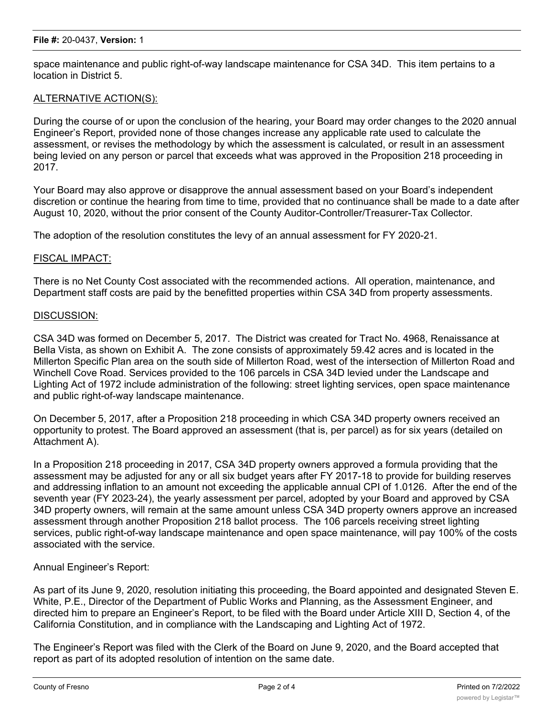space maintenance and public right-of-way landscape maintenance for CSA 34D. This item pertains to a location in District 5.

# ALTERNATIVE ACTION(S):

During the course of or upon the conclusion of the hearing, your Board may order changes to the 2020 annual Engineer's Report, provided none of those changes increase any applicable rate used to calculate the assessment, or revises the methodology by which the assessment is calculated, or result in an assessment being levied on any person or parcel that exceeds what was approved in the Proposition 218 proceeding in 2017.

Your Board may also approve or disapprove the annual assessment based on your Board's independent discretion or continue the hearing from time to time, provided that no continuance shall be made to a date after August 10, 2020, without the prior consent of the County Auditor-Controller/Treasurer-Tax Collector.

The adoption of the resolution constitutes the levy of an annual assessment for FY 2020-21.

### FISCAL IMPACT:

There is no Net County Cost associated with the recommended actions. All operation, maintenance, and Department staff costs are paid by the benefitted properties within CSA 34D from property assessments.

### DISCUSSION:

CSA 34D was formed on December 5, 2017. The District was created for Tract No. 4968, Renaissance at Bella Vista, as shown on Exhibit A. The zone consists of approximately 59.42 acres and is located in the Millerton Specific Plan area on the south side of Millerton Road, west of the intersection of Millerton Road and Winchell Cove Road. Services provided to the 106 parcels in CSA 34D levied under the Landscape and Lighting Act of 1972 include administration of the following: street lighting services, open space maintenance and public right-of-way landscape maintenance.

On December 5, 2017, after a Proposition 218 proceeding in which CSA 34D property owners received an opportunity to protest. The Board approved an assessment (that is, per parcel) as for six years (detailed on Attachment A).

In a Proposition 218 proceeding in 2017, CSA 34D property owners approved a formula providing that the assessment may be adjusted for any or all six budget years after FY 2017-18 to provide for building reserves and addressing inflation to an amount not exceeding the applicable annual CPI of 1.0126. After the end of the seventh year (FY 2023-24), the yearly assessment per parcel, adopted by your Board and approved by CSA 34D property owners, will remain at the same amount unless CSA 34D property owners approve an increased assessment through another Proposition 218 ballot process. The 106 parcels receiving street lighting services, public right-of-way landscape maintenance and open space maintenance, will pay 100% of the costs associated with the service.

### Annual Engineer's Report:

As part of its June 9, 2020, resolution initiating this proceeding, the Board appointed and designated Steven E. White, P.E., Director of the Department of Public Works and Planning, as the Assessment Engineer, and directed him to prepare an Engineer's Report, to be filed with the Board under Article XIII D, Section 4, of the California Constitution, and in compliance with the Landscaping and Lighting Act of 1972.

The Engineer's Report was filed with the Clerk of the Board on June 9, 2020, and the Board accepted that report as part of its adopted resolution of intention on the same date.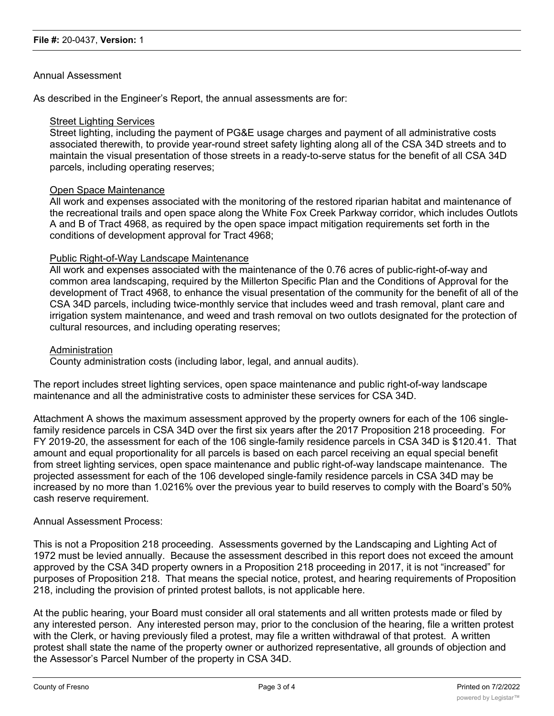## Annual Assessment

As described in the Engineer's Report, the annual assessments are for:

### Street Lighting Services

Street lighting, including the payment of PG&E usage charges and payment of all administrative costs associated therewith, to provide year-round street safety lighting along all of the CSA 34D streets and to maintain the visual presentation of those streets in a ready-to-serve status for the benefit of all CSA 34D parcels, including operating reserves;

#### Open Space Maintenance

All work and expenses associated with the monitoring of the restored riparian habitat and maintenance of the recreational trails and open space along the White Fox Creek Parkway corridor, which includes Outlots A and B of Tract 4968, as required by the open space impact mitigation requirements set forth in the conditions of development approval for Tract 4968;

#### Public Right-of-Way Landscape Maintenance

All work and expenses associated with the maintenance of the 0.76 acres of public-right-of-way and common area landscaping, required by the Millerton Specific Plan and the Conditions of Approval for the development of Tract 4968, to enhance the visual presentation of the community for the benefit of all of the CSA 34D parcels, including twice-monthly service that includes weed and trash removal, plant care and irrigation system maintenance, and weed and trash removal on two outlots designated for the protection of cultural resources, and including operating reserves;

#### **Administration**

County administration costs (including labor, legal, and annual audits).

The report includes street lighting services, open space maintenance and public right-of-way landscape maintenance and all the administrative costs to administer these services for CSA 34D.

Attachment A shows the maximum assessment approved by the property owners for each of the 106 singlefamily residence parcels in CSA 34D over the first six years after the 2017 Proposition 218 proceeding. For FY 2019-20, the assessment for each of the 106 single-family residence parcels in CSA 34D is \$120.41. That amount and equal proportionality for all parcels is based on each parcel receiving an equal special benefit from street lighting services, open space maintenance and public right-of-way landscape maintenance. The projected assessment for each of the 106 developed single-family residence parcels in CSA 34D may be increased by no more than 1.0216% over the previous year to build reserves to comply with the Board's 50% cash reserve requirement.

### Annual Assessment Process:

This is not a Proposition 218 proceeding. Assessments governed by the Landscaping and Lighting Act of 1972 must be levied annually. Because the assessment described in this report does not exceed the amount approved by the CSA 34D property owners in a Proposition 218 proceeding in 2017, it is not "increased" for purposes of Proposition 218. That means the special notice, protest, and hearing requirements of Proposition 218, including the provision of printed protest ballots, is not applicable here.

At the public hearing, your Board must consider all oral statements and all written protests made or filed by any interested person. Any interested person may, prior to the conclusion of the hearing, file a written protest with the Clerk, or having previously filed a protest, may file a written withdrawal of that protest. A written protest shall state the name of the property owner or authorized representative, all grounds of objection and the Assessor's Parcel Number of the property in CSA 34D.